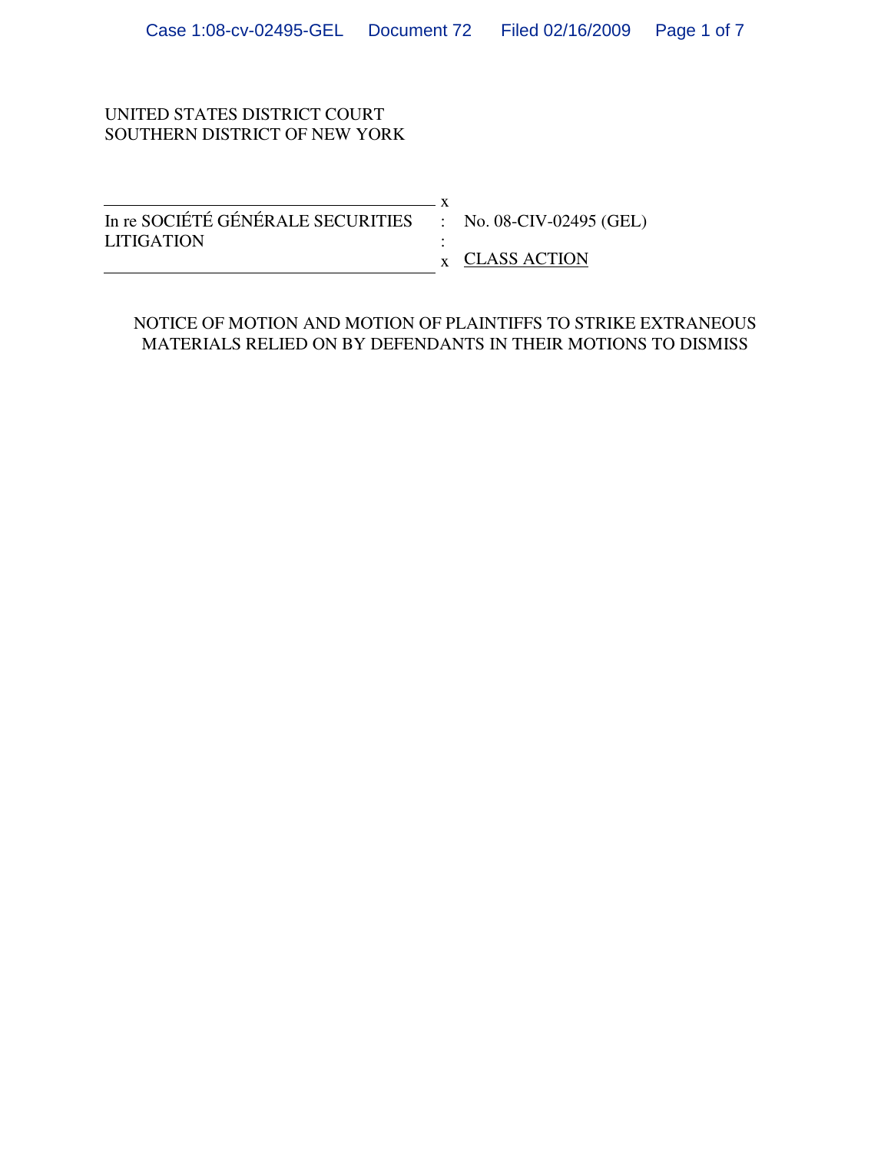### UNITED STATES DISTRICT COURT SOUTHERN DISTRICT OF NEW YORK

| In re SOCIÉTÉ GÉNÉRALE SECURITIES : No. 08-CIV-02495 (GEL) |                                        |
|------------------------------------------------------------|----------------------------------------|
| <b>LITIGATION</b>                                          |                                        |
|                                                            | $\boldsymbol{\mathsf{x}}$ CLASS ACTION |

### NOTICE OF MOTION AND MOTION OF PLAINTIFFS TO STRIKE EXTRANEOUS MATERIALS RELIED ON BY DEFENDANTS IN THEIR MOTIONS TO DISMISS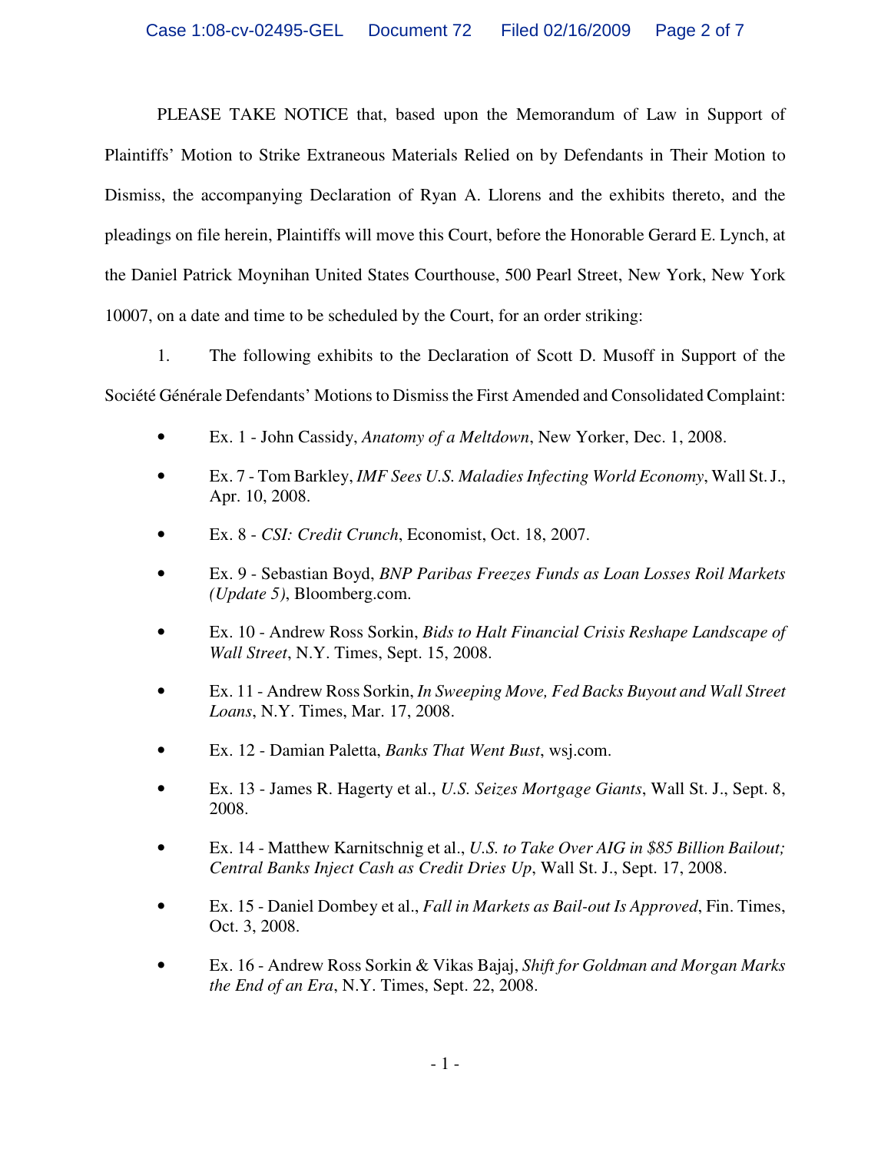PLEASE TAKE NOTICE that, based upon the Memorandum of Law in Support of Plaintiffs' Motion to Strike Extraneous Materials Relied on by Defendants in Their Motion to Dismiss, the accompanying Declaration of Ryan A. Llorens and the exhibits thereto, and the pleadings on file herein, Plaintiffs will move this Court, before the Honorable Gerard E. Lynch, at the Daniel Patrick Moynihan United States Courthouse, 500 Pearl Street, New York, New York 10007, on a date and time to be scheduled by the Court, for an order striking:

1. The following exhibits to the Declaration of Scott D. Musoff in Support of the Société Générale Defendants' Motions to Dismiss the First Amended and Consolidated Complaint:

- Ex. 1 John Cassidy, *Anatomy of a Meltdown*, New Yorker, Dec. 1, 2008.
- Ex. 7 Tom Barkley, *IMF Sees U.S. Maladies Infecting World Economy*, Wall St. J., Apr. 10, 2008.
- Ex. 8 *CSI: Credit Crunch*, Economist, Oct. 18, 2007.
- Ex. 9 Sebastian Boyd, *BNP Paribas Freezes Funds as Loan Losses Roil Markets (Update 5)*, Bloomberg.com.
- Ex. 10 Andrew Ross Sorkin, *Bids to Halt Financial Crisis Reshape Landscape of Wall Street*, N.Y. Times, Sept. 15, 2008.
- Ex. 11 Andrew Ross Sorkin, *In Sweeping Move, Fed Backs Buyout and Wall Street Loans*, N.Y. Times, Mar. 17, 2008.
- Ex. 12 Damian Paletta, *Banks That Went Bust*, wsj.com.
- Ex. 13 James R. Hagerty et al., *U.S. Seizes Mortgage Giants*, Wall St. J., Sept. 8, 2008.
- Ex. 14 Matthew Karnitschnig et al., *U.S. to Take Over AIG in \$85 Billion Bailout; Central Banks Inject Cash as Credit Dries Up*, Wall St. J., Sept. 17, 2008.
- Ex. 15 Daniel Dombey et al., *Fall in Markets as Bail-out Is Approved*, Fin. Times, Oct. 3, 2008.
- Ex. 16 Andrew Ross Sorkin & Vikas Bajaj, *Shift for Goldman and Morgan Marks the End of an Era*, N.Y. Times, Sept. 22, 2008.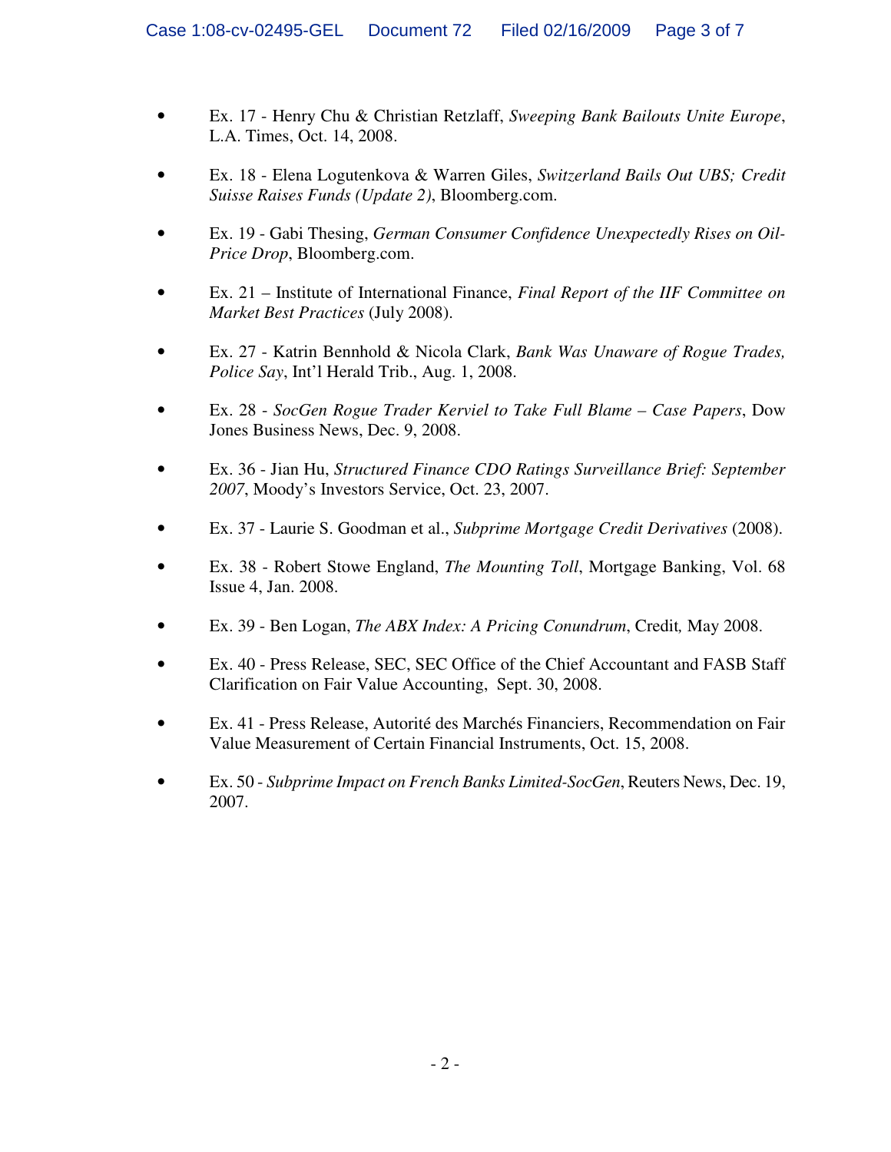- Ex. 17 Henry Chu & Christian Retzlaff, *Sweeping Bank Bailouts Unite Europe*, L.A. Times, Oct. 14, 2008.
- Ex. 18 Elena Logutenkova & Warren Giles, *Switzerland Bails Out UBS; Credit Suisse Raises Funds (Update 2)*, Bloomberg.com.
- Ex. 19 Gabi Thesing, *German Consumer Confidence Unexpectedly Rises on Oil-Price Drop*, Bloomberg.com.
- Ex. 21 Institute of International Finance, *Final Report of the IIF Committee on Market Best Practices* (July 2008).
- Ex. 27 Katrin Bennhold & Nicola Clark, *Bank Was Unaware of Rogue Trades, Police Say*, Int'l Herald Trib., Aug. 1, 2008.
- Ex. 28 *SocGen Rogue Trader Kerviel to Take Full Blame Case Papers*, Dow Jones Business News, Dec. 9, 2008.
- Ex. 36 Jian Hu, *Structured Finance CDO Ratings Surveillance Brief: September 2007*, Moody's Investors Service, Oct. 23, 2007.
- Ex. 37 Laurie S. Goodman et al., *Subprime Mortgage Credit Derivatives* (2008).
- Ex. 38 Robert Stowe England, *The Mounting Toll*, Mortgage Banking, Vol. 68 Issue 4, Jan. 2008.
- Ex. 39 Ben Logan, *The ABX Index: A Pricing Conundrum*, Credit*,* May 2008.
- Ex. 40 Press Release, SEC, SEC Office of the Chief Accountant and FASB Staff Clarification on Fair Value Accounting, Sept. 30, 2008.
- Ex. 41 Press Release, Autorité des Marchés Financiers, Recommendation on Fair Value Measurement of Certain Financial Instruments, Oct. 15, 2008.
- Ex. 50 *Subprime Impact on French Banks Limited-SocGen*, Reuters News, Dec. 19, 2007.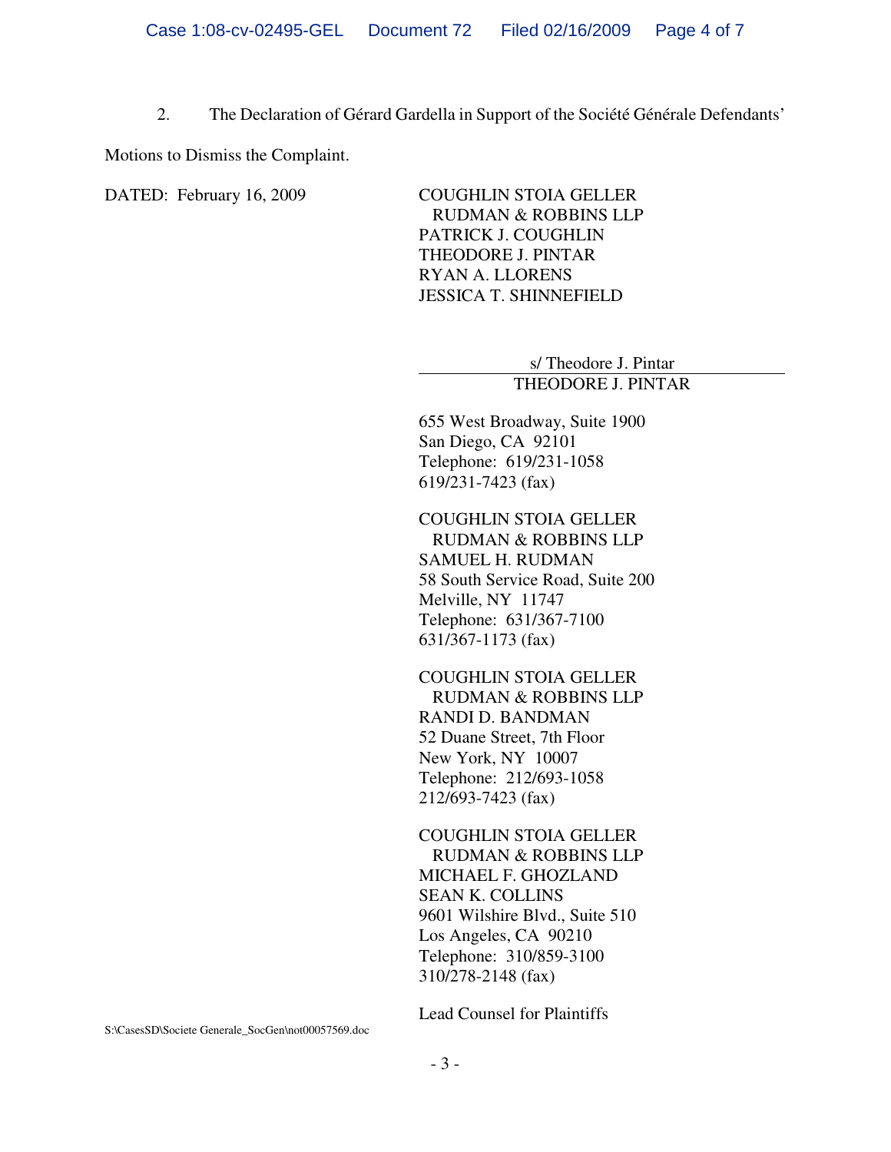2. The Declaration of Gérard Gardella in Support of the Société Générale Defendants'

Motions to Dismiss the Complaint.

DATED: February 16, 2009 COUGHLIN STOIA GELLER RUDMAN & ROBBINS LLP PATRICK J. COUGHLIN THEODORE J. PINTAR RYAN A. LLORENS JESSICA T. SHINNEFIELD

> s/ Theodore J. Pintar THEODORE J. PINTAR

655 West Broadway, Suite 1900 San Diego, CA 92101 Telephone: 619/231-1058 619/231-7423 (fax)

COUGHLIN STOIA GELLER RUDMAN & ROBBINS LLP SAMUEL H. RUDMAN 58 South Service Road, Suite 200 Melville, NY 11747 Telephone: 631/367-7100 631/367-1173 (fax)

COUGHLIN STOIA GELLER RUDMAN & ROBBINS LLP RANDI D. BANDMAN 52 Duane Street, 7th Floor New York, NY 10007 Telephone: 212/693-1058 212/693-7423 (fax)

COUGHLIN STOIA GELLER RUDMAN & ROBBINS LLP MICHAEL F. GHOZLAND SEAN K. COLLINS 9601 Wilshire Blvd., Suite 510 Los Angeles, CA 90210 Telephone: 310/859-3100 310/278-2148 (fax)

Lead Counsel for Plaintiffs

S:\CasesSD\Societe Generale\_SocGen\not00057569.doc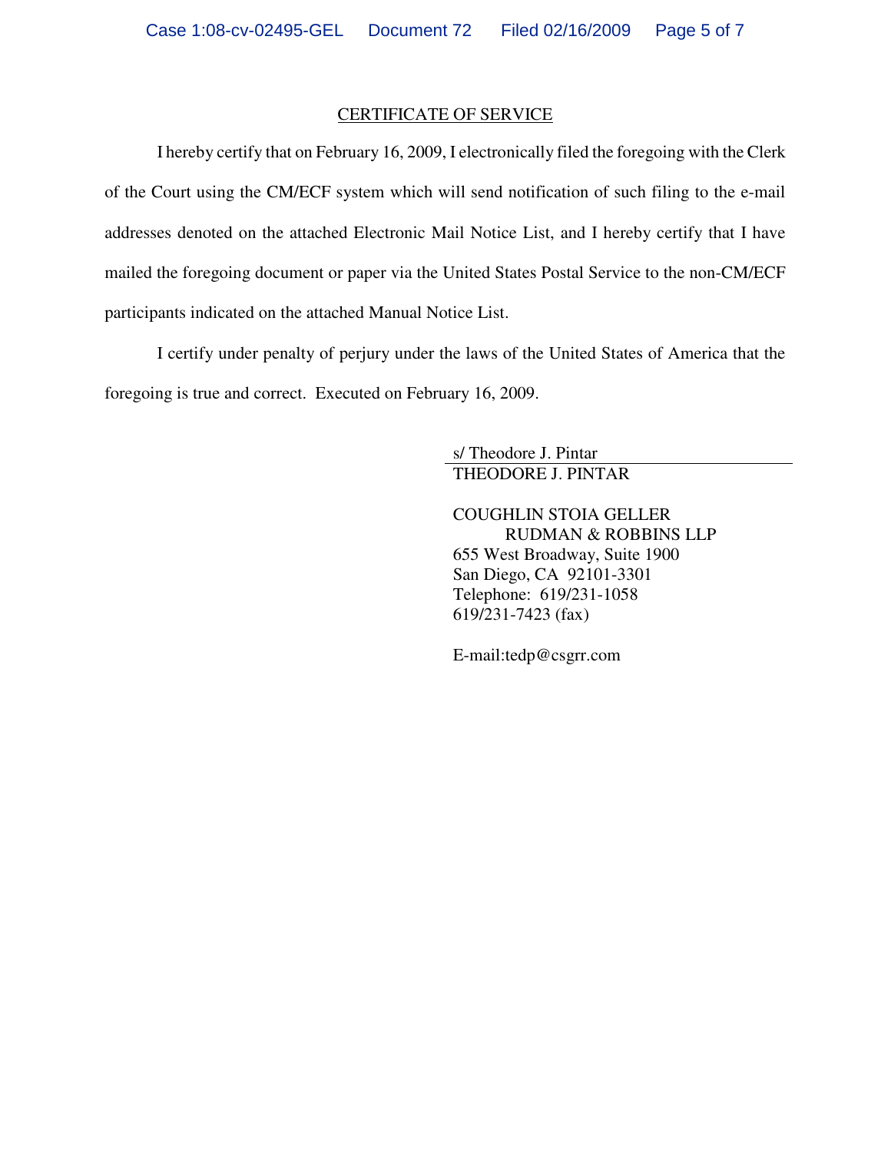#### CERTIFICATE OF SERVICE

I hereby certify that on February 16, 2009, I electronically filed the foregoing with the Clerk of the Court using the CM/ECF system which will send notification of such filing to the e-mail addresses denoted on the attached Electronic Mail Notice List, and I hereby certify that I have mailed the foregoing document or paper via the United States Postal Service to the non-CM/ECF participants indicated on the attached Manual Notice List.

I certify under penalty of perjury under the laws of the United States of America that the foregoing is true and correct. Executed on February 16, 2009.

> s/ Theodore J. Pintar THEODORE J. PINTAR

COUGHLIN STOIA GELLER RUDMAN & ROBBINS LLP 655 West Broadway, Suite 1900 San Diego, CA 92101-3301 Telephone: 619/231-1058 619/231-7423 (fax)

E-mail:tedp@csgrr.com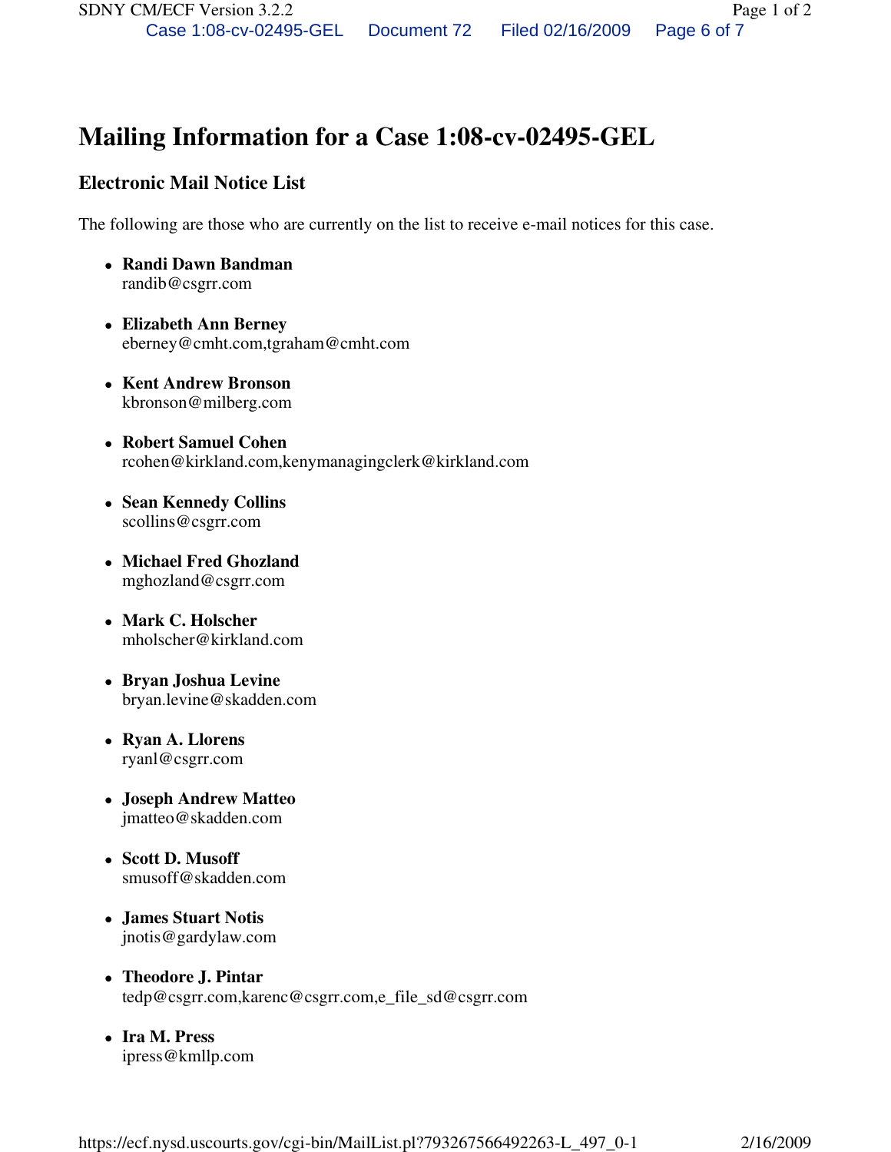# **Mailing Information for a Case 1:08-cv-02495-GEL**

## **Electronic Mail Notice List**

The following are those who are currently on the list to receive e-mail notices for this case.

- **Randi Dawn Bandman**  randib@csgrr.com
- **Elizabeth Ann Berney**  eberney@cmht.com,tgraham@cmht.com
- **Kent Andrew Bronson**  kbronson@milberg.com
- **Robert Samuel Cohen**  rcohen@kirkland.com,kenymanagingclerk@kirkland.com
- **Sean Kennedy Collins**  scollins@csgrr.com
- **Michael Fred Ghozland**  mghozland@csgrr.com
- **Mark C. Holscher**  mholscher@kirkland.com
- **Bryan Joshua Levine**  bryan.levine@skadden.com
- **Ryan A. Llorens**  ryanl@csgrr.com
- **Joseph Andrew Matteo**  jmatteo@skadden.com
- **Scott D. Musoff**  smusoff@skadden.com
- **James Stuart Notis**  jnotis@gardylaw.com
- **Theodore J. Pintar**  tedp@csgrr.com,karenc@csgrr.com,e\_file\_sd@csgrr.com
- **Ira M. Press**  ipress@kmllp.com